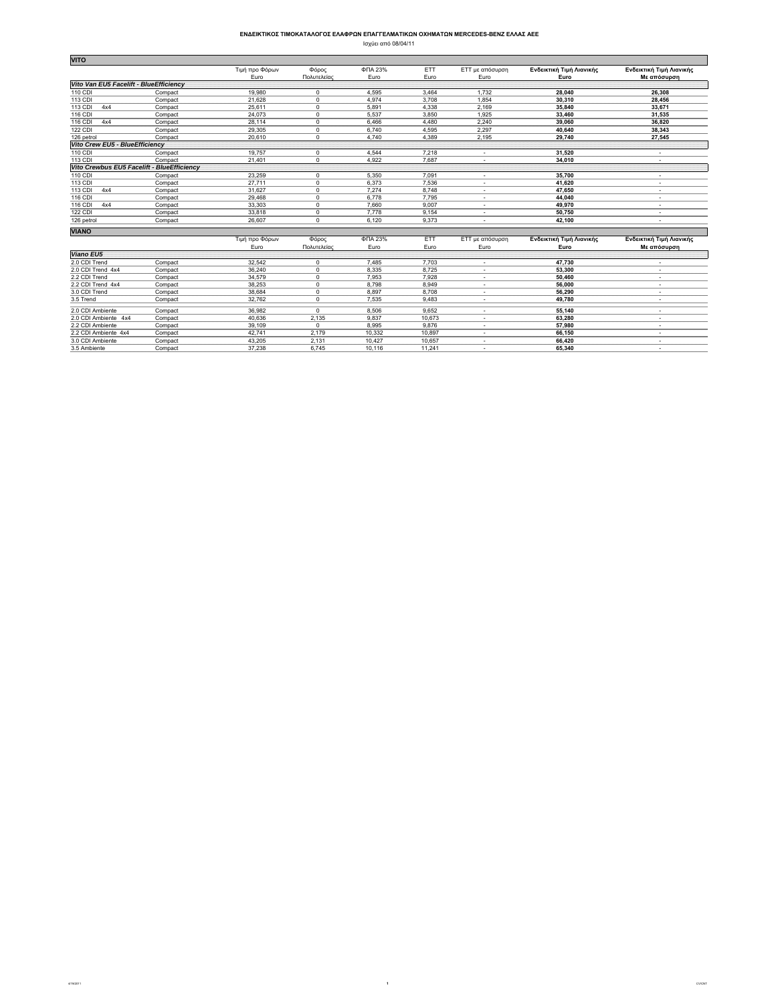## **ΕΝ∆ΕΙΚΤΙΚΟΣ ΤΙΜOΚΑΤΑΛΟΓΟΣ ΕΛΑΦΡΩΝ ΕΠΑΓΓΕΛΜΑΤΙΚΩΝ ΟΧΗΜΑΤΩΝ MERCEDES-BENZ ΕΛΛΑΣ ΑΕΕ** Ισχύει από 08/04/11

| <b>VITO</b>                                |         |                |             |         |        |                 |                          |                          |
|--------------------------------------------|---------|----------------|-------------|---------|--------|-----------------|--------------------------|--------------------------|
|                                            |         | Τιμή προ Φόρων | Φόρος       | ФПА 23% | ETT    | ETT με απόσυρση | Ενδεικτική Τιμή Λιανικής | Ενδεικτική Τιμή Λιανικής |
|                                            |         | Euro           | Πολυτελείας | Euro    | Euro   | Euro            | Euro                     | Με απόσυρση              |
| Vito Van EU5 Facelift - BlueEfficiency     |         |                |             |         |        |                 |                          |                          |
| 110 CDI                                    | Compact | 19,980         | $\mathbf 0$ | 4.595   | 3.464  | 1.732           | 28.040                   | 26,308                   |
| 113 CDI                                    | Compact | 21.628         | $\Omega$    | 4.974   | 3.708  | 1.854           | 30.310                   | 28.456                   |
| 113 CDI<br>4x4                             | Compact | 25.611         | 0           | 5.891   | 4,338  | 2,169           | 35.840                   | 33,671                   |
| 116 CDI                                    | Compact | 24.073         | 0           | 5.537   | 3.850  | 1.925           | 33,460                   | 31,535                   |
| 116 CDI<br>4x4                             | Compact | 28.114         | 0           | 6.466   | 4,480  | 2.240           | 39.060                   | 36,820                   |
| <b>122 CDI</b>                             | Compact | 29,305         | 0           | 6,740   | 4,595  | 2,297           | 40,640                   | 38,343                   |
| 126 petrol                                 | Compact | 20,610         | 0           | 4,740   | 4,389  | 2,195           | 29,740                   | 27,545                   |
| Vito Crew EU5 - BlueEfficiency             |         |                |             |         |        |                 |                          |                          |
| 110 CDI                                    | Compact | 19.757         | 0           | 4,544   | 7,218  | ٠               | 31.520                   | $\sim$                   |
| 113 CDI                                    | Compact | 21,401         | 0           | 4,922   | 7,687  | ٠               | 34,010                   | ٠                        |
| Vito Crewbus EU5 Facelift - BlueEfficiency |         |                |             |         |        |                 |                          |                          |
| 110 CDI                                    | Compact | 23.259         | 0           | 5.350   | 7.091  | ٠               | 35.700                   |                          |
| 113 CDI                                    | Compact | 27.711         | 0           | 6.373   | 7.536  |                 | 41.620                   |                          |
| 113 CDI<br>4x4                             | Compact | 31.627         | $\mathbf 0$ | 7.274   | 8.748  | ٠               | 47.650                   | $\overline{\phantom{a}}$ |
| 116 CDI                                    | Compact | 29,468         | 0           | 6,778   | 7,795  | ٠               | 44.040                   |                          |
| 116 CDI<br>4x4                             | Compact | 33.303         | 0           | 7.660   | 9.007  | ٠               | 49.970                   |                          |
| <b>122 CDI</b>                             | Compact | 33.818         | 0           | 7.778   | 9.154  | ٠               | 50.750                   | ٠                        |
| 126 petrol                                 | Compact | 26.607         | 0           | 6,120   | 9,373  | ٠               | 42.100                   |                          |
| <b>VIANO</b>                               |         |                |             |         |        |                 |                          |                          |
|                                            |         | Τιμή προ Φόρων | Φόρος       | ФПА 23% | ETT    | ETT με απόσυρση | Ενδεικτική Τιμή Λιανικής | Ενδεικτική Τιμή Λιανικής |
|                                            |         | Euro           | Πολυτελείας | Euro    | Euro   | Euro            | Euro                     | Με απόσυρση              |
| <b>Viano EU5</b>                           |         |                |             |         |        |                 |                          |                          |
| 2.0 CDI Trend                              | Compact | 32,542         | 0           | 7,485   | 7,703  | ٠               | 47,730                   | ٠                        |
| 2.0 CDI Trend 4x4                          | Compact | 36,240         | 0           | 8,335   | 8,725  | ٠               | 53,300                   | ٠                        |
| 2.2 CDI Trend                              | Compact | 34.579         | 0           | 7.953   | 7.928  | ٠               | 50.460                   |                          |
| 2.2 CDI Trend 4x4                          | Compact | 38,253         | 0           | 8,798   | 8,949  |                 | 56,000                   |                          |
| 3.0 CDI Trend                              | Compact | 38,684         | 0           | 8,897   | 8,708  | ٠               | 56,290                   |                          |
| 3.5 Trend                                  | Compact | 32,762         | 0           | 7,535   | 9,483  |                 | 49,780                   |                          |
| 2.0 CDI Ambiente                           | Compact | 36.982         | 0           | 8.506   | 9.652  |                 | 55.140                   |                          |
| 2.0 CDI Ambiente 4x4                       | Compact | 40.636         | 2,135       | 9.837   | 10,673 | ٠               | 63.280                   | ٠                        |
| 2.2 CDI Ambiente                           | Compact | 39.109         | 0           | 8.995   | 9.876  | ٠               | 57.980                   | ٠                        |
| 2.2 CDI Ambiente 4x4                       | Compact | 42,741         | 2,179       | 10,332  | 10,897 | ٠               | 66,150                   | ٠                        |
| 3.0 CDI Ambiente                           | Compact | 43,205         | 2,131       | 10,427  | 10,657 | $\sim$          | 66,420                   | ٠                        |
| 3.5 Ambiente                               | Compact | 37.238         | 6.745       | 10,116  | 11.241 | ٠               | 65.340                   |                          |